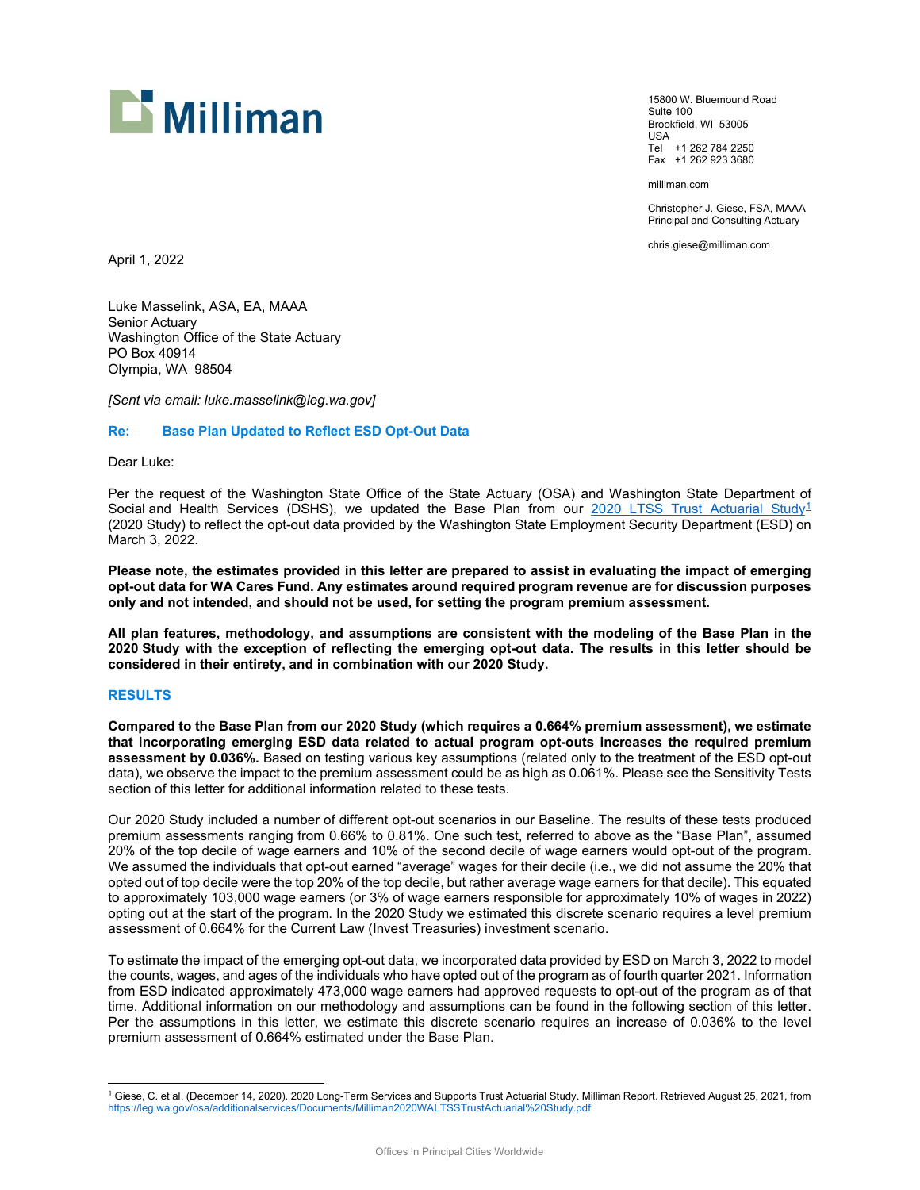

15800 W. Bluemound Road Suite 100 Brookfield, WI 53005 USA Tel +1 262 784 2250 Fax +1 262 923 3680

milliman.com

Christopher J. Giese, FSA, MAAA Principal and Consulting Actuary

chris.giese@milliman.com

April 1, 2022

Luke Masselink, ASA, EA, MAAA Senior Actuary Washington Office of the State Actuary PO Box 40914 Olympia, WA 98504

*[Sent via email: luke.masselink@leg.wa.gov]*

#### **Re: Base Plan Updated to Reflect ESD Opt-Out Data**

Dear Luke:

Per the request of the Washington State Office of the State Actuary (OSA) and Washington State Department of Social and Health Services (DSHS), we updated the Base Plan from our [2020 LTSS Trust Actuarial Study](https://leg.wa.gov/osa/additionalservices/Documents/Milliman2020WALTSSTrustActuarial%20Study.pdf)<sup>[1](#page-0-0)</sup> (2020 Study) to reflect the opt-out data provided by the Washington State Employment Security Department (ESD) on March 3, 2022.

**Please note, the estimates provided in this letter are prepared to assist in evaluating the impact of emerging opt-out data for WA Cares Fund. Any estimates around required program revenue are for discussion purposes only and not intended, and should not be used, for setting the program premium assessment.**

**All plan features, methodology, and assumptions are consistent with the modeling of the Base Plan in the 2020 Study with the exception of reflecting the emerging opt-out data. The results in this letter should be considered in their entirety, and in combination with our 2020 Study.**

#### **RESULTS**

**Compared to the Base Plan from our 2020 Study (which requires a 0.664% premium assessment), we estimate that incorporating emerging ESD data related to actual program opt-outs increases the required premium assessment by 0.036%.** Based on testing various key assumptions (related only to the treatment of the ESD opt-out data), we observe the impact to the premium assessment could be as high as 0.061%. Please see the Sensitivity Tests section of this letter for additional information related to these tests.

Our 2020 Study included a number of different opt-out scenarios in our Baseline. The results of these tests produced premium assessments ranging from 0.66% to 0.81%. One such test, referred to above as the "Base Plan", assumed 20% of the top decile of wage earners and 10% of the second decile of wage earners would opt-out of the program. We assumed the individuals that opt-out earned "average" wages for their decile (i.e., we did not assume the 20% that opted out of top decile were the top 20% of the top decile, but rather average wage earners for that decile). This equated to approximately 103,000 wage earners (or 3% of wage earners responsible for approximately 10% of wages in 2022) opting out at the start of the program. In the 2020 Study we estimated this discrete scenario requires a level premium assessment of 0.664% for the Current Law (Invest Treasuries) investment scenario.

To estimate the impact of the emerging opt-out data, we incorporated data provided by ESD on March 3, 2022 to model the counts, wages, and ages of the individuals who have opted out of the program as of fourth quarter 2021. Information from ESD indicated approximately 473,000 wage earners had approved requests to opt-out of the program as of that time. Additional information on our methodology and assumptions can be found in the following section of this letter. Per the assumptions in this letter, we estimate this discrete scenario requires an increase of 0.036% to the level premium assessment of 0.664% estimated under the Base Plan.

<span id="page-0-0"></span><sup>1</sup> Giese, C. et al. (December 14, 2020). 2020 Long-Term Services and Supports Trust Actuarial Study. Milliman Report. Retrieved August 25, 2021, from <https://leg.wa.gov/osa/additionalservices/Documents/Milliman2020WALTSSTrustActuarial%20Study.pdf>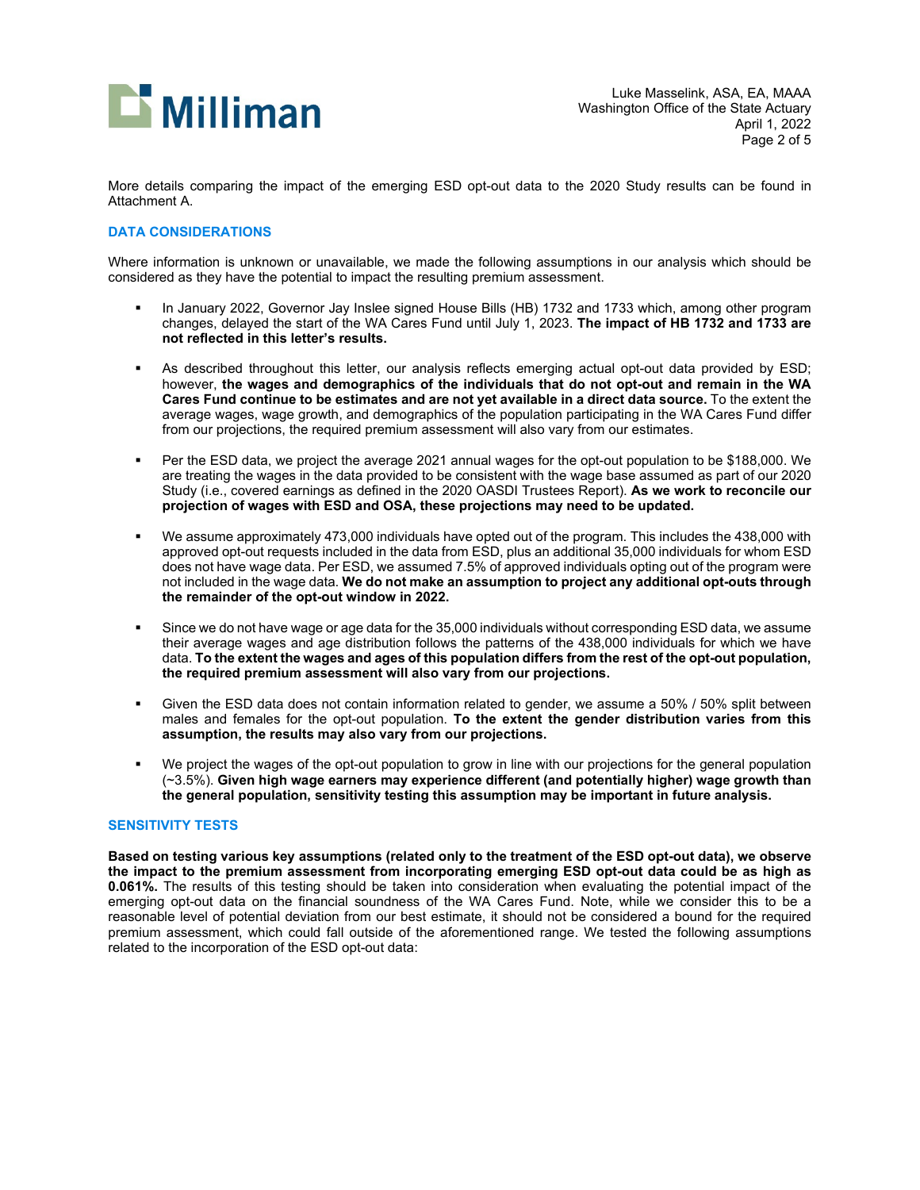

More details comparing the impact of the emerging ESD opt-out data to the 2020 Study results can be found in Attachment A.

### **DATA CONSIDERATIONS**

Where information is unknown or unavailable, we made the following assumptions in our analysis which should be considered as they have the potential to impact the resulting premium assessment.

- In January 2022, Governor Jay Inslee signed House Bills (HB) 1732 and 1733 which, among other program changes, delayed the start of the WA Cares Fund until July 1, 2023. **The impact of HB 1732 and 1733 are not reflected in this letter's results.**
- As described throughout this letter, our analysis reflects emerging actual opt-out data provided by ESD; however, **the wages and demographics of the individuals that do not opt-out and remain in the WA Cares Fund continue to be estimates and are not yet available in a direct data source.** To the extent the average wages, wage growth, and demographics of the population participating in the WA Cares Fund differ from our projections, the required premium assessment will also vary from our estimates.
- Per the ESD data, we project the average 2021 annual wages for the opt-out population to be \$188,000. We are treating the wages in the data provided to be consistent with the wage base assumed as part of our 2020 Study (i.e., covered earnings as defined in the 2020 OASDI Trustees Report). **As we work to reconcile our projection of wages with ESD and OSA, these projections may need to be updated.**
- We assume approximately 473,000 individuals have opted out of the program. This includes the 438,000 with approved opt-out requests included in the data from ESD, plus an additional 35,000 individuals for whom ESD does not have wage data. Per ESD, we assumed 7.5% of approved individuals opting out of the program were not included in the wage data. **We do not make an assumption to project any additional opt-outs through the remainder of the opt-out window in 2022.**
- Since we do not have wage or age data for the 35,000 individuals without corresponding ESD data, we assume their average wages and age distribution follows the patterns of the 438,000 individuals for which we have data. **To the extent the wages and ages of this population differs from the rest of the opt-out population, the required premium assessment will also vary from our projections.**
- Given the ESD data does not contain information related to gender, we assume a 50% / 50% split between males and females for the opt-out population. **To the extent the gender distribution varies from this assumption, the results may also vary from our projections.**
- We project the wages of the opt-out population to grow in line with our projections for the general population (~3.5%). **Given high wage earners may experience different (and potentially higher) wage growth than the general population, sensitivity testing this assumption may be important in future analysis.**

### **SENSITIVITY TESTS**

**Based on testing various key assumptions (related only to the treatment of the ESD opt-out data), we observe the impact to the premium assessment from incorporating emerging ESD opt-out data could be as high as 0.061%.** The results of this testing should be taken into consideration when evaluating the potential impact of the emerging opt-out data on the financial soundness of the WA Cares Fund. Note, while we consider this to be a reasonable level of potential deviation from our best estimate, it should not be considered a bound for the required premium assessment, which could fall outside of the aforementioned range. We tested the following assumptions related to the incorporation of the ESD opt-out data: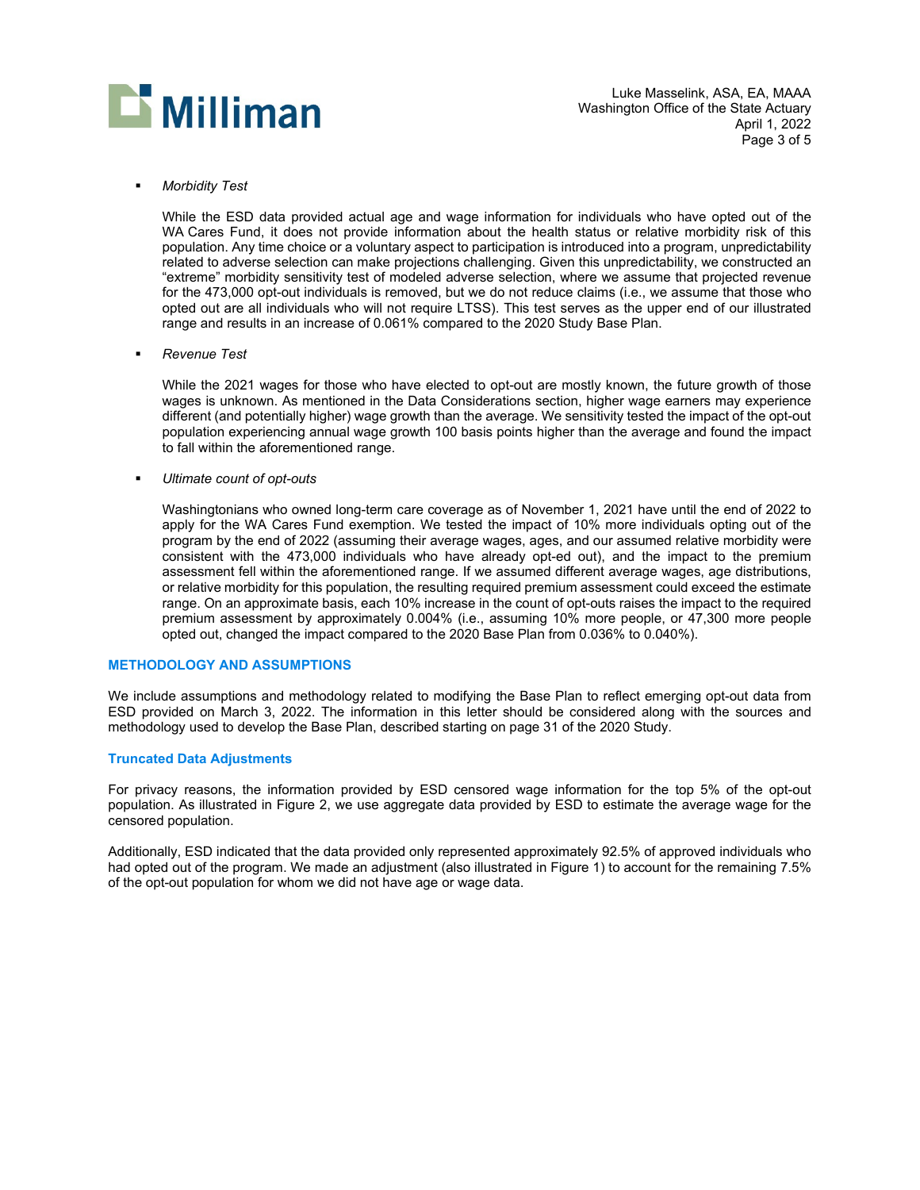

Luke Masselink, ASA, EA, MAAA Washington Office of the State Actuary April 1, 2022 Page 3 of 5

*Morbidity Test*

While the ESD data provided actual age and wage information for individuals who have opted out of the WA Cares Fund, it does not provide information about the health status or relative morbidity risk of this population. Any time choice or a voluntary aspect to participation is introduced into a program, unpredictability related to adverse selection can make projections challenging. Given this unpredictability, we constructed an "extreme" morbidity sensitivity test of modeled adverse selection, where we assume that projected revenue for the 473,000 opt-out individuals is removed, but we do not reduce claims (i.e., we assume that those who opted out are all individuals who will not require LTSS). This test serves as the upper end of our illustrated range and results in an increase of 0.061% compared to the 2020 Study Base Plan.

*Revenue Test*

While the 2021 wages for those who have elected to opt-out are mostly known, the future growth of those wages is unknown. As mentioned in the Data Considerations section, higher wage earners may experience different (and potentially higher) wage growth than the average. We sensitivity tested the impact of the opt-out population experiencing annual wage growth 100 basis points higher than the average and found the impact to fall within the aforementioned range.

*Ultimate count of opt-outs*

Washingtonians who owned long-term care coverage as of November 1, 2021 have until the end of 2022 to apply for the WA Cares Fund exemption. We tested the impact of 10% more individuals opting out of the program by the end of 2022 (assuming their average wages, ages, and our assumed relative morbidity were consistent with the 473,000 individuals who have already opt-ed out), and the impact to the premium assessment fell within the aforementioned range. If we assumed different average wages, age distributions, or relative morbidity for this population, the resulting required premium assessment could exceed the estimate range. On an approximate basis, each 10% increase in the count of opt-outs raises the impact to the required premium assessment by approximately 0.004% (i.e., assuming 10% more people, or 47,300 more people opted out, changed the impact compared to the 2020 Base Plan from 0.036% to 0.040%).

#### **METHODOLOGY AND ASSUMPTIONS**

We include assumptions and methodology related to modifying the Base Plan to reflect emerging opt-out data from ESD provided on March 3, 2022. The information in this letter should be considered along with the sources and methodology used to develop the Base Plan, described starting on page 31 of the [2020 Study.](https://leg.wa.gov/osa/additionalservices/Documents/Milliman2020WALTSSTrustActuarial%20Study.pdf)

#### **Truncated Data Adjustments**

For privacy reasons, the information provided by ESD censored wage information for the top 5% of the opt-out population. As illustrated in Figure 2, we use aggregate data provided by ESD to estimate the average wage for the censored population.

Additionally, ESD indicated that the data provided only represented approximately 92.5% of approved individuals who had opted out of the program. We made an adjustment (also illustrated in Figure 1) to account for the remaining 7.5% of the opt-out population for whom we did not have age or wage data.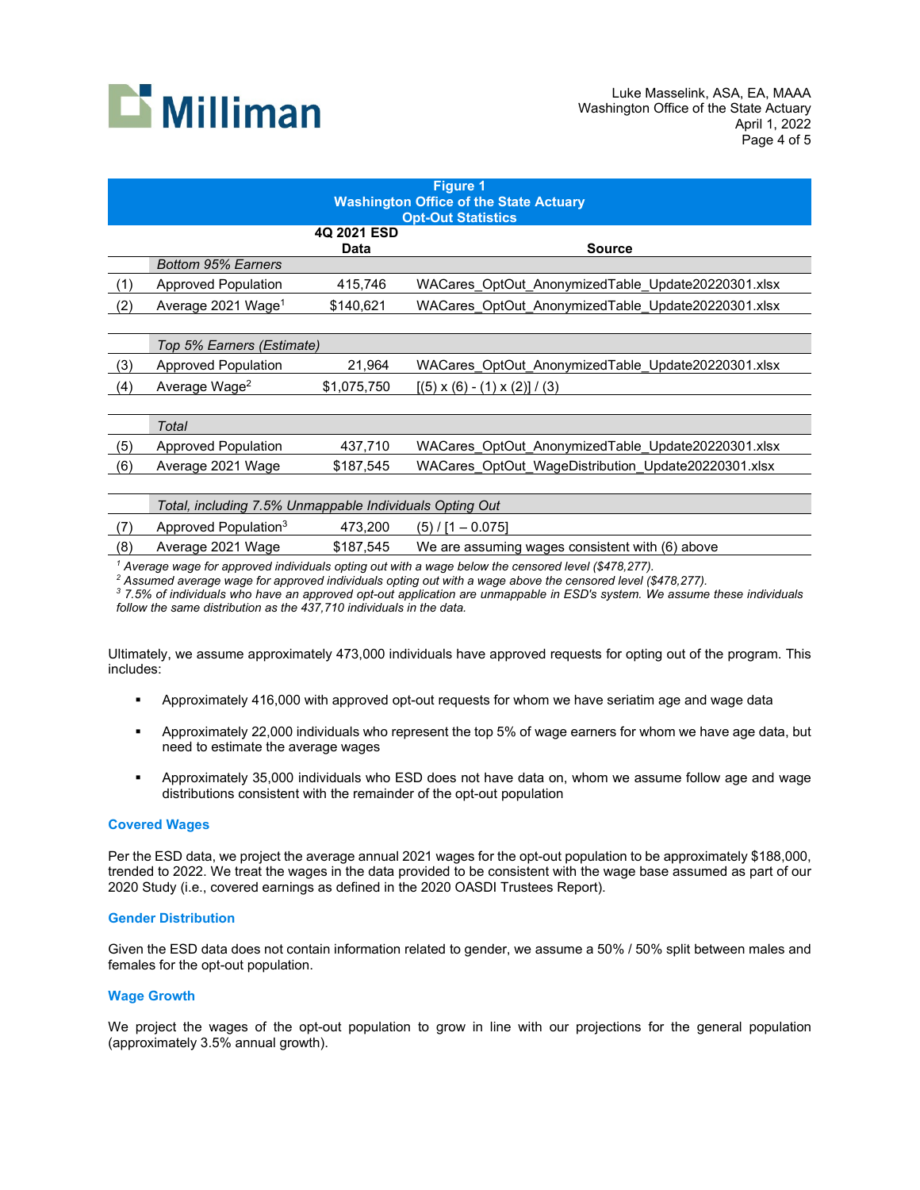

|     | <b>Figure 1</b><br><b>Washington Office of the State Actuary</b> |                     |                                                     |  |  |  |
|-----|------------------------------------------------------------------|---------------------|-----------------------------------------------------|--|--|--|
|     |                                                                  | 4Q 2021 ESD<br>Data | <b>Opt-Out Statistics</b><br>Source                 |  |  |  |
|     | <b>Bottom 95% Earners</b>                                        |                     |                                                     |  |  |  |
| (1) | <b>Approved Population</b>                                       | 415,746             | WACares OptOut AnonymizedTable Update20220301.xlsx  |  |  |  |
| (2) | Average 2021 Wage <sup>1</sup>                                   | \$140,621           | WACares OptOut AnonymizedTable Update20220301.xlsx  |  |  |  |
|     |                                                                  |                     |                                                     |  |  |  |
|     | Top 5% Earners (Estimate)                                        |                     |                                                     |  |  |  |
| (3) | <b>Approved Population</b>                                       | 21,964              | WACares OptOut AnonymizedTable Update20220301.xlsx  |  |  |  |
| (4) | Average Wage <sup>2</sup>                                        | \$1,075,750         | $[(5) \times (6) - (1) \times (2)] / (3)$           |  |  |  |
|     |                                                                  |                     |                                                     |  |  |  |
|     | Total                                                            |                     |                                                     |  |  |  |
| (5) | Approved Population                                              | 437,710             | WACares OptOut AnonymizedTable Update20220301.xlsx  |  |  |  |
| (6) | Average 2021 Wage                                                | \$187,545           | WACares OptOut WageDistribution Update20220301.xlsx |  |  |  |
|     |                                                                  |                     |                                                     |  |  |  |
|     |                                                                  |                     |                                                     |  |  |  |

|     | Total, including 7.5% Unmappable Individuals Opting Out |           |                                                 |  |  |
|-----|---------------------------------------------------------|-----------|-------------------------------------------------|--|--|
|     | Approved Population <sup>3</sup>                        | 473.200   | $(5) / [1 - 0.075]$                             |  |  |
| (8) | Average 2021 Wage                                       | \$187.545 | We are assuming wages consistent with (6) above |  |  |

<sup>1</sup> Average wage for approved individuals opting out with a wage below the censored level (\$478,277).<br><sup>2</sup> Assumed average wage for approved individuals opting out with a wage above the censored level (\$478,277).

*<sup>3</sup> 7.5% of individuals who have an approved opt-out application are unmappable in ESD's system. We assume these individuals follow the same distribution as the 437,710 individuals in the data.*

Ultimately, we assume approximately 473,000 individuals have approved requests for opting out of the program. This includes:

- Approximately 416,000 with approved opt-out requests for whom we have seriatim age and wage data
- Approximately 22,000 individuals who represent the top 5% of wage earners for whom we have age data, but need to estimate the average wages
- Approximately 35,000 individuals who ESD does not have data on, whom we assume follow age and wage distributions consistent with the remainder of the opt-out population

#### **Covered Wages**

Per the ESD data, we project the average annual 2021 wages for the opt-out population to be approximately \$188,000, trended to 2022. We treat the wages in the data provided to be consistent with the wage base assumed as part of our 2020 Study (i.e., covered earnings as defined in the 2020 OASDI Trustees Report).

#### **Gender Distribution**

Given the ESD data does not contain information related to gender, we assume a 50% / 50% split between males and females for the opt-out population.

#### **Wage Growth**

We project the wages of the opt-out population to grow in line with our projections for the general population (approximately 3.5% annual growth).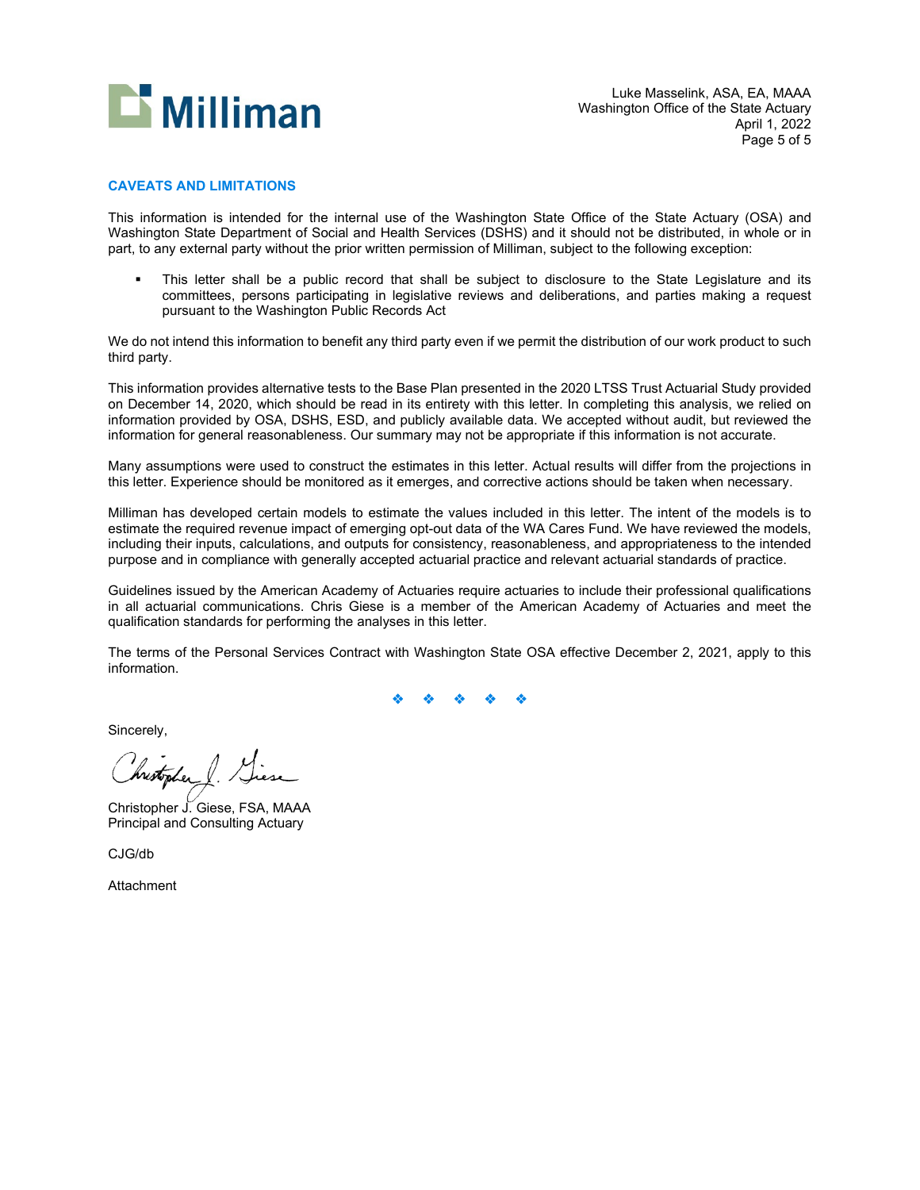

#### **CAVEATS AND LIMITATIONS**

This information is intended for the internal use of the Washington State Office of the State Actuary (OSA) and Washington State Department of Social and Health Services (DSHS) and it should not be distributed, in whole or in part, to any external party without the prior written permission of Milliman, subject to the following exception:

 This letter shall be a public record that shall be subject to disclosure to the State Legislature and its committees, persons participating in legislative reviews and deliberations, and parties making a request pursuant to the Washington Public Records Act

We do not intend this information to benefit any third party even if we permit the distribution of our work product to such third party.

This information provides alternative tests to the Base Plan presented in the 2020 LTSS Trust Actuarial Study provided on December 14, 2020, which should be read in its entirety with this letter. In completing this analysis, we relied on information provided by OSA, DSHS, ESD, and publicly available data. We accepted without audit, but reviewed the information for general reasonableness. Our summary may not be appropriate if this information is not accurate.

Many assumptions were used to construct the estimates in this letter. Actual results will differ from the projections in this letter. Experience should be monitored as it emerges, and corrective actions should be taken when necessary.

Milliman has developed certain models to estimate the values included in this letter. The intent of the models is to estimate the required revenue impact of emerging opt-out data of the WA Cares Fund. We have reviewed the models, including their inputs, calculations, and outputs for consistency, reasonableness, and appropriateness to the intended purpose and in compliance with generally accepted actuarial practice and relevant actuarial standards of practice.

Guidelines issued by the American Academy of Actuaries require actuaries to include their professional qualifications in all actuarial communications. Chris Giese is a member of the American Academy of Actuaries and meet the qualification standards for performing the analyses in this letter.

The terms of the Personal Services Contract with Washington State OSA effective December 2, 2021, apply to this information.

Sincerely,

hrestopher

Christopher J. Giese, FSA, MAAA Principal and Consulting Actuary

CJG/db

Attachment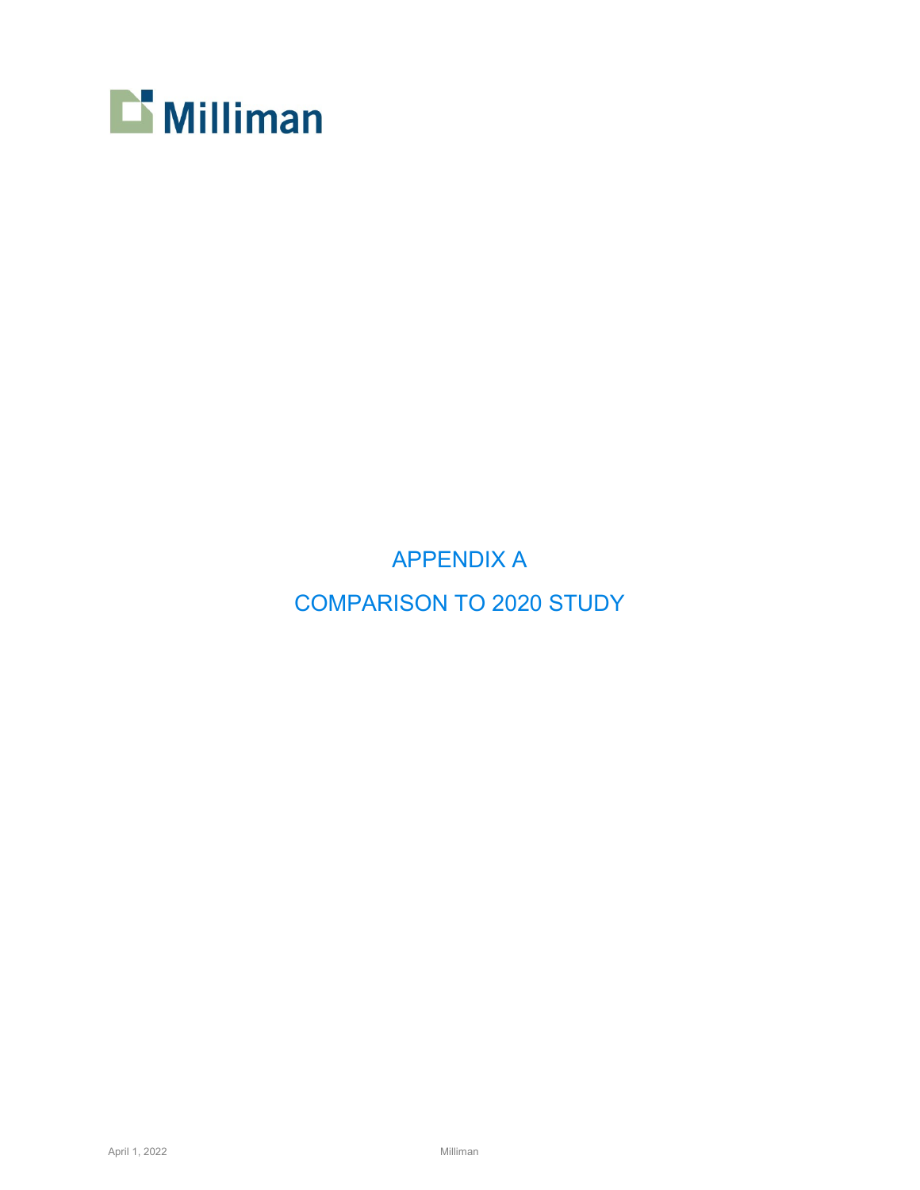

APPENDIX A COMPARISON TO 2020 STUDY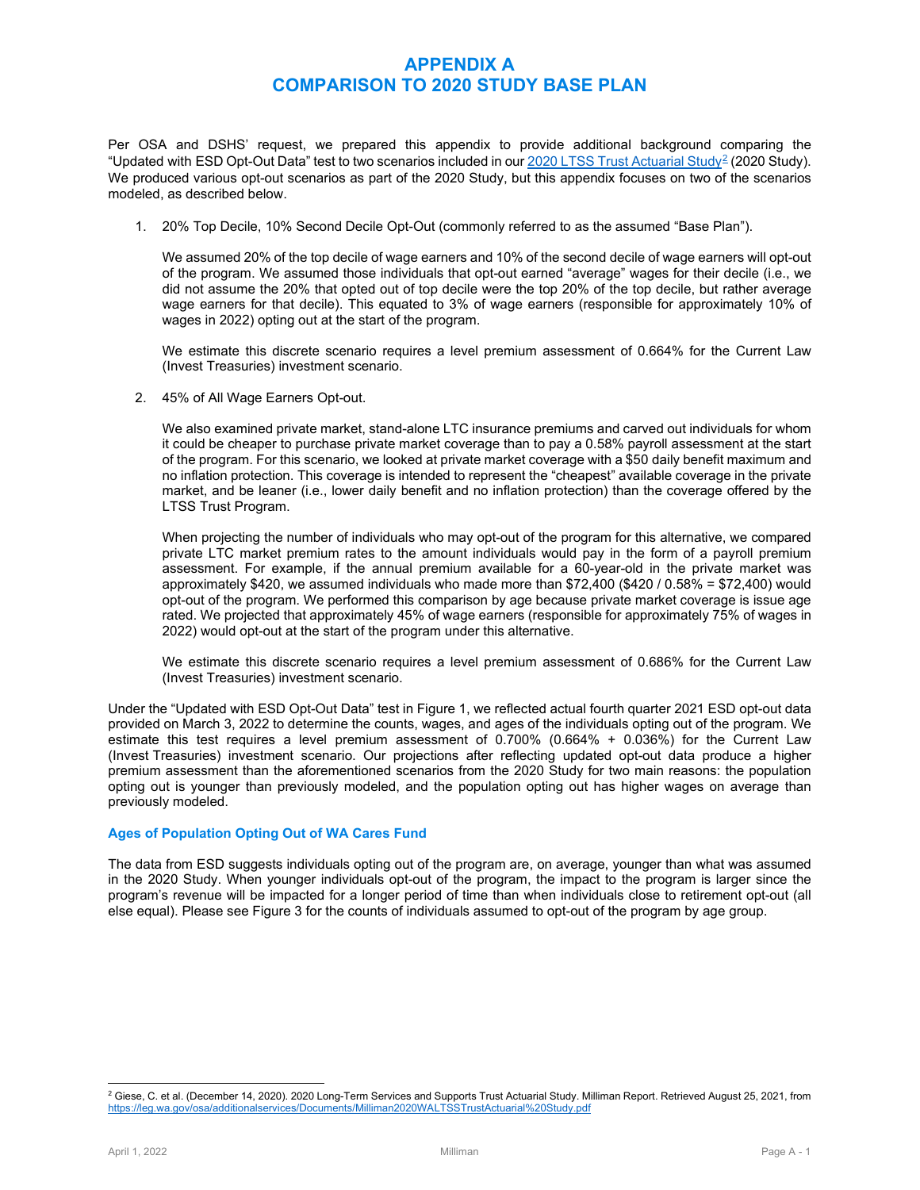## **APPENDIX A COMPARISON TO 2020 STUDY BASE PLAN**

Per OSA and DSHS' request, we prepared this appendix to provide additional background comparing the "Updated with ESD Opt-Out Data" test to two scenarios included in ou[r 2020 LTSS Trust Actuarial Study](https://leg.wa.gov/osa/additionalservices/Documents/Milliman2020WALTSSTrustActuarial%20Study.pdf)<sup>[2](#page-6-0)</sup> (2020 Study). We produced various opt-out scenarios as part of the 2020 Study, but this appendix focuses on two of the scenarios modeled, as described below.

1. 20% Top Decile, 10% Second Decile Opt-Out (commonly referred to as the assumed "Base Plan").

We assumed 20% of the top decile of wage earners and 10% of the second decile of wage earners will opt-out of the program. We assumed those individuals that opt-out earned "average" wages for their decile (i.e., we did not assume the 20% that opted out of top decile were the top 20% of the top decile, but rather average wage earners for that decile). This equated to 3% of wage earners (responsible for approximately 10% of wages in 2022) opting out at the start of the program.

We estimate this discrete scenario requires a level premium assessment of 0.664% for the Current Law (Invest Treasuries) investment scenario.

2. 45% of All Wage Earners Opt-out.

We also examined private market, stand-alone LTC insurance premiums and carved out individuals for whom it could be cheaper to purchase private market coverage than to pay a 0.58% payroll assessment at the start of the program. For this scenario, we looked at private market coverage with a \$50 daily benefit maximum and no inflation protection. This coverage is intended to represent the "cheapest" available coverage in the private market, and be leaner (i.e., lower daily benefit and no inflation protection) than the coverage offered by the LTSS Trust Program.

When projecting the number of individuals who may opt-out of the program for this alternative, we compared private LTC market premium rates to the amount individuals would pay in the form of a payroll premium assessment. For example, if the annual premium available for a 60-year-old in the private market was approximately \$420, we assumed individuals who made more than \$72,400 (\$420 / 0.58% = \$72,400) would opt-out of the program. We performed this comparison by age because private market coverage is issue age rated. We projected that approximately 45% of wage earners (responsible for approximately 75% of wages in 2022) would opt-out at the start of the program under this alternative.

We estimate this discrete scenario requires a level premium assessment of 0.686% for the Current Law (Invest Treasuries) investment scenario.

Under the "Updated with ESD Opt-Out Data" test in Figure 1, we reflected actual fourth quarter 2021 ESD opt-out data provided on March 3, 2022 to determine the counts, wages, and ages of the individuals opting out of the program. We estimate this test requires a level premium assessment of 0.700% (0.664% + 0.036%) for the Current Law (Invest Treasuries) investment scenario. Our projections after reflecting updated opt-out data produce a higher premium assessment than the aforementioned scenarios from the 2020 Study for two main reasons: the population opting out is younger than previously modeled, and the population opting out has higher wages on average than previously modeled.

#### **Ages of Population Opting Out of WA Cares Fund**

The data from ESD suggests individuals opting out of the program are, on average, younger than what was assumed in the 2020 Study. When younger individuals opt-out of the program, the impact to the program is larger since the program's revenue will be impacted for a longer period of time than when individuals close to retirement opt-out (all else equal). Please see Figure 3 for the counts of individuals assumed to opt-out of the program by age group.

<span id="page-6-0"></span><sup>&</sup>lt;sup>2</sup> Giese, C. et al. (December 14, 2020). 2020 Long-Term Services and Supports Trust Actuarial Study. Milliman Report. Retrieved August 25, 2021, from <https://leg.wa.gov/osa/additionalservices/Documents/Milliman2020WALTSSTrustActuarial%20Study.pdf>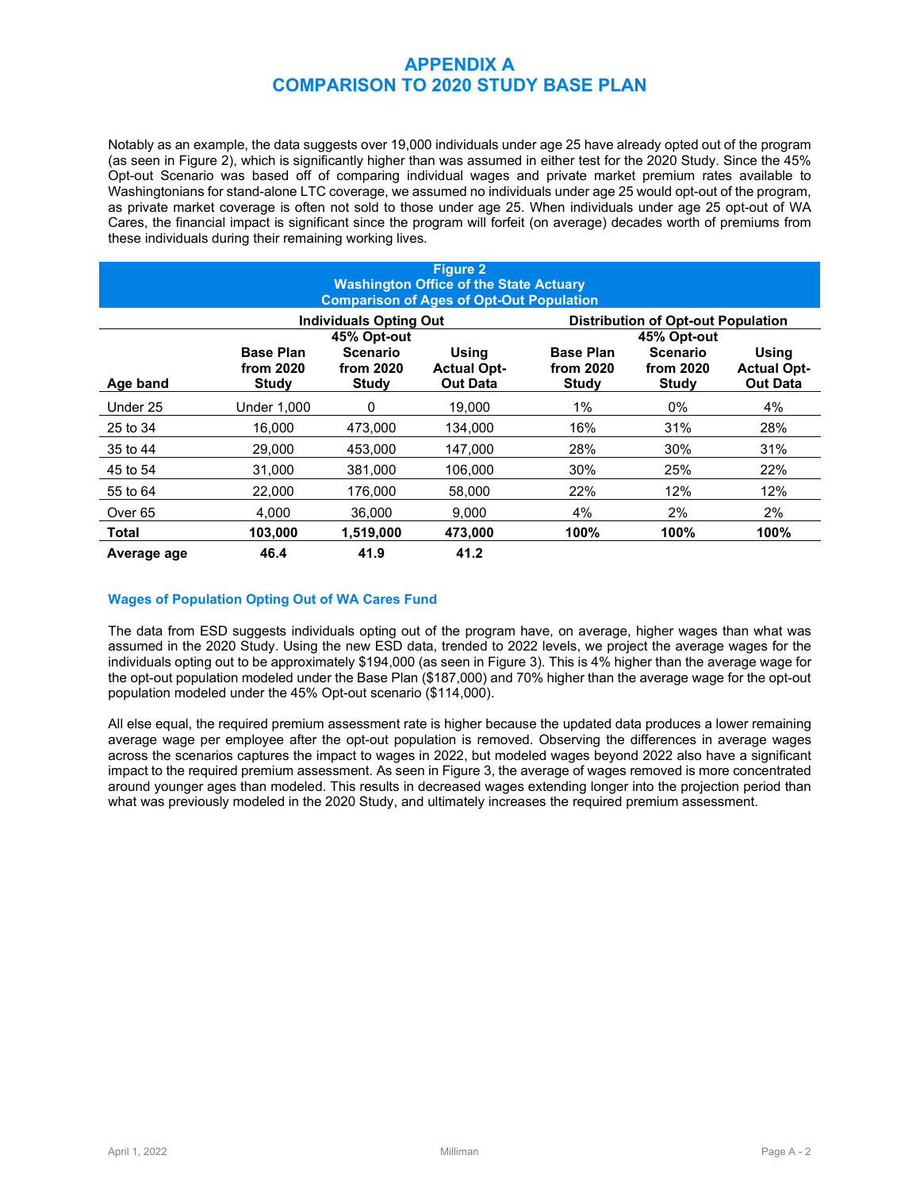## **APPENDIX A COMPARISON TO 2020 STUDY BASE PLAN**

Notably as an example, the data suggests over 19,000 individuals under age 25 have already opted out of the program (as seen in Figure 2), which is significantly higher than was assumed in either test for the 2020 Study. Since the 45% Opt-out Scenario was based off of comparing individual wages and private market premium rates available to Washingtonians for stand-alone LTC coverage, we assumed no individuals under age 25 would opt-out of the program, as private market coverage is often not sold to those under age 25. When individuals under age 25 opt-out of WA Cares, the financial impact is significant since the program will forfeit (on average) decades worth of premiums from these individuals during their remaining working lives.

| <b>Figure 2</b><br><b>Washington Office of the State Actuary</b><br><b>Comparison of Ages of Opt-Out Population</b> |                               |                           |                                       |                                           |                           |                                       |  |
|---------------------------------------------------------------------------------------------------------------------|-------------------------------|---------------------------|---------------------------------------|-------------------------------------------|---------------------------|---------------------------------------|--|
|                                                                                                                     | <b>Individuals Opting Out</b> |                           |                                       | <b>Distribution of Opt-out Population</b> |                           |                                       |  |
| 45% Opt-out<br><b>Base Plan</b><br><b>Using</b><br><b>Scenario</b>                                                  |                               |                           | <b>Base Plan</b>                      | 45% Opt-out<br><b>Scenario</b>            | <b>Using</b>              |                                       |  |
| Age band                                                                                                            | from 2020<br><b>Study</b>     | from 2020<br><b>Study</b> | <b>Actual Opt-</b><br><b>Out Data</b> | from 2020<br><b>Study</b>                 | from 2020<br><b>Study</b> | <b>Actual Opt-</b><br><b>Out Data</b> |  |
| Under 25                                                                                                            | Under 1.000                   | 0                         | 19.000                                | 1%                                        | $0\%$                     | 4%                                    |  |
| 25 to 34                                                                                                            | 16,000                        | 473,000                   | 134.000                               | 16%                                       | 31%                       | 28%                                   |  |
| 35 to 44                                                                                                            | 29,000                        | 453,000                   | 147,000                               | 28%                                       | 30%                       | 31%                                   |  |
| 45 to 54                                                                                                            | 31,000                        | 381,000                   | 106,000                               | 30%                                       | 25%                       | 22%                                   |  |
| 55 to 64                                                                                                            | 22,000                        | 176,000                   | 58.000                                | 22%                                       | 12%                       | 12%                                   |  |
| Over <sub>65</sub>                                                                                                  | 4.000                         | 36.000                    | 9.000                                 | 4%                                        | 2%                        | 2%                                    |  |
| <b>Total</b>                                                                                                        | 103,000                       | 1,519,000                 | 473,000                               | 100%                                      | 100%                      | 100%                                  |  |
| Average age                                                                                                         | 46.4                          | 41.9                      | 41.2                                  |                                           |                           |                                       |  |

## **Wages of Population Opting Out of WA Cares Fund**

The data from ESD suggests individuals opting out of the program have, on average, higher wages than what was assumed in the 2020 Study. Using the new ESD data, trended to 2022 levels, we project the average wages for the individuals opting out to be approximately \$194,000 (as seen in Figure 3). This is 4% higher than the average wage for the opt-out population modeled under the Base Plan (\$187,000) and 70% higher than the average wage for the opt-out population modeled under the 45% Opt-out scenario (\$114,000).

All else equal, the required premium assessment rate is higher because the updated data produces a lower remaining average wage per employee after the opt-out population is removed. Observing the differences in average wages across the scenarios captures the impact to wages in 2022, but modeled wages beyond 2022 also have a significant impact to the required premium assessment. As seen in Figure 3, the average of wages removed is more concentrated around younger ages than modeled. This results in decreased wages extending longer into the projection period than what was previously modeled in the 2020 Study, and ultimately increases the required premium assessment.